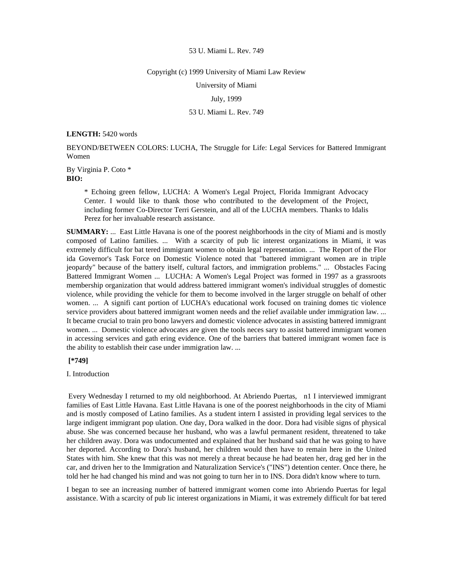#### Copyright (c) 1999 University of Miami Law Review

University of Miami

## July, 1999

# 53 U. Miami L. Rev. 749

#### **LENGTH:** 5420 words

BEYOND/BETWEEN COLORS: LUCHA, The Struggle for Life: Legal Services for Battered Immigrant Women

By Virginia P. Coto \* **BIO:** 

> \* Echoing green fellow, LUCHA: A Women's Legal Project, Florida Immigrant Advocacy Center. I would like to thank those who contributed to the development of the Project, including former Co-Director Terri Gerstein, and all of the LUCHA members. Thanks to Idalis Perez for her invaluable research assistance.

**SUMMARY:** ... East Little Havana is one of the poorest neighborhoods in the city of Miami and is mostly composed of Latino families. ... With a scarcity of pub lic interest organizations in Miami, it was extremely difficult for bat tered immigrant women to obtain legal representation. ... The Report of the Flor ida Governor's Task Force on Domestic Violence noted that "battered immigrant women are in triple jeopardy" because of the battery itself, cultural factors, and immigration problems." ... Obstacles Facing Battered Immigrant Women ... LUCHA: A Women's Legal Project was formed in 1997 as a grassroots membership organization that would address battered immigrant women's individual struggles of domestic violence, while providing the vehicle for them to become involved in the larger struggle on behalf of other women. ... A signifi cant portion of LUCHA's educational work focused on training domes tic violence service providers about battered immigrant women needs and the relief available under immigration law. ... It became crucial to train pro bono lawyers and domestic violence advocates in assisting battered immigrant women. ... Domestic violence advocates are given the tools neces sary to assist battered immigrant women in accessing services and gath ering evidence. One of the barriers that battered immigrant women face is the ability to establish their case under immigration law. ...

### **[\*749]**

### I. Introduction

 Every Wednesday I returned to my old neighborhood. At Abriendo Puertas, n1 I interviewed immigrant families of East Little Havana. East Little Havana is one of the poorest neighborhoods in the city of Miami and is mostly composed of Latino families. As a student intern I assisted in providing legal services to the large indigent immigrant pop ulation. One day, Dora walked in the door. Dora had visible signs of physical abuse. She was concerned because her husband, who was a lawful permanent resident, threatened to take her children away. Dora was undocumented and explained that her husband said that he was going to have her deported. According to Dora's husband, her children would then have to remain here in the United States with him. She knew that this was not merely a threat because he had beaten her, drag ged her in the car, and driven her to the Immigration and Naturalization Service's ("INS") detention center. Once there, he told her he had changed his mind and was not going to turn her in to INS. Dora didn't know where to turn.

I began to see an increasing number of battered immigrant women come into Abriendo Puertas for legal assistance. With a scarcity of pub lic interest organizations in Miami, it was extremely difficult for bat tered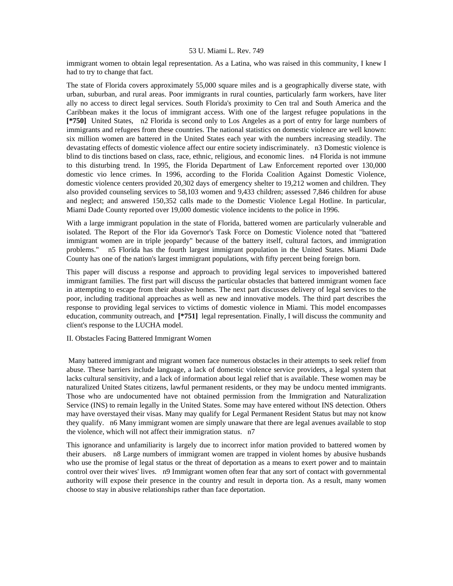immigrant women to obtain legal representation. As a Latina, who was raised in this community, I knew I had to try to change that fact.

The state of Florida covers approximately 55,000 square miles and is a geographically diverse state, with urban, suburban, and rural areas. Poor immigrants in rural counties, particularly farm workers, have liter ally no access to direct legal services. South Florida's proximity to Cen tral and South America and the Caribbean makes it the locus of immigrant access. With one of the largest refugee populations in the **[\*750]** United States, n2 Florida is second only to Los Angeles as a port of entry for large numbers of immigrants and refugees from these countries. The national statistics on domestic violence are well known: six million women are battered in the United States each year with the numbers increasing steadily. The devastating effects of domestic violence affect our entire society indiscriminately. n3 Domestic violence is blind to dis tinctions based on class, race, ethnic, religious, and economic lines. n4 Florida is not immune to this disturbing trend. In 1995, the Florida Department of Law Enforcement reported over 130,000 domestic vio lence crimes. In 1996, according to the Florida Coalition Against Domestic Violence, domestic violence centers provided 20,302 days of emergency shelter to 19,212 women and children. They also provided counseling services to 58,103 women and 9,433 children; assessed 7,846 children for abuse and neglect; and answered 150,352 calls made to the Domestic Violence Legal Hotline. In particular, Miami Dade County reported over 19,000 domestic violence incidents to the police in 1996.

With a large immigrant population in the state of Florida, battered women are particularly vulnerable and isolated. The Report of the Flor ida Governor's Task Force on Domestic Violence noted that "battered immigrant women are in triple jeopardy" because of the battery itself, cultural factors, and immigration problems." n5 Florida has the fourth largest immigrant population in the United States. Miami Dade County has one of the nation's largest immigrant populations, with fifty percent being foreign born.

This paper will discuss a response and approach to providing legal services to impoverished battered immigrant families. The first part will discuss the particular obstacles that battered immigrant women face in attempting to escape from their abusive homes. The next part discusses delivery of legal services to the poor, including traditional approaches as well as new and innovative models. The third part describes the response to providing legal services to victims of domestic violence in Miami. This model encompasses education, community outreach, and **[\*751]** legal representation. Finally, I will discuss the community and client's response to the LUCHA model.

II. Obstacles Facing Battered Immigrant Women

 Many battered immigrant and migrant women face numerous obstacles in their attempts to seek relief from abuse. These barriers include language, a lack of domestic violence service providers, a legal system that lacks cultural sensitivity, and a lack of information about legal relief that is available. These women may be naturalized United States citizens, lawful permanent residents, or they may be undocu mented immigrants. Those who are undocumented have not obtained permission from the Immigration and Naturalization Service (INS) to remain legally in the United States. Some may have entered without INS detection. Others may have overstayed their visas. Many may qualify for Legal Permanent Resident Status but may not know they qualify. n6 Many immigrant women are simply unaware that there are legal avenues available to stop the violence, which will not affect their immigration status. n7

This ignorance and unfamiliarity is largely due to incorrect infor mation provided to battered women by their abusers. n8 Large numbers of immigrant women are trapped in violent homes by abusive husbands who use the promise of legal status or the threat of deportation as a means to exert power and to maintain control over their wives' lives. n9 Immigrant women often fear that any sort of contact with governmental authority will expose their presence in the country and result in deporta tion. As a result, many women choose to stay in abusive relationships rather than face deportation.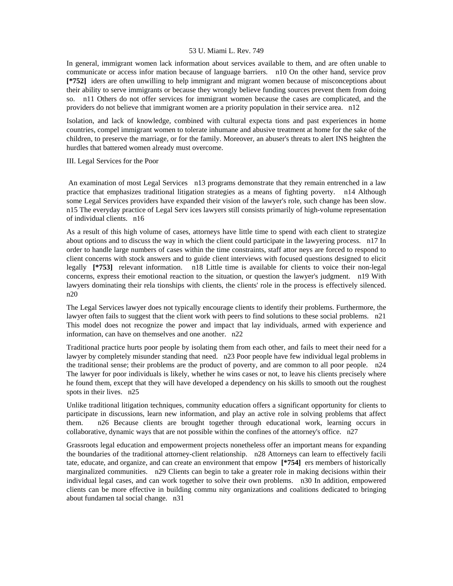In general, immigrant women lack information about services available to them, and are often unable to communicate or access infor mation because of language barriers. n10 On the other hand, service prov **[\*752]** iders are often unwilling to help immigrant and migrant women because of misconceptions about their ability to serve immigrants or because they wrongly believe funding sources prevent them from doing so. n11 Others do not offer services for immigrant women because the cases are complicated, and the providers do not believe that immigrant women are a priority population in their service area. n12

Isolation, and lack of knowledge, combined with cultural expecta tions and past experiences in home countries, compel immigrant women to tolerate inhumane and abusive treatment at home for the sake of the children, to preserve the marriage, or for the family. Moreover, an abuser's threats to alert INS heighten the hurdles that battered women already must overcome.

### III. Legal Services for the Poor

 An examination of most Legal Services n13 programs demonstrate that they remain entrenched in a law practice that emphasizes traditional litigation strategies as a means of fighting poverty. n14 Although some Legal Services providers have expanded their vision of the lawyer's role, such change has been slow. n15 The everyday practice of Legal Serv ices lawyers still consists primarily of high-volume representation of individual clients. n16

As a result of this high volume of cases, attorneys have little time to spend with each client to strategize about options and to discuss the way in which the client could participate in the lawyering process. n17 In order to handle large numbers of cases within the time constraints, staff attor neys are forced to respond to client concerns with stock answers and to guide client interviews with focused questions designed to elicit legally **[\*753]** relevant information. n18 Little time is available for clients to voice their non-legal concerns, express their emotional reaction to the situation, or question the lawyer's judgment. n19 With lawyers dominating their rela tionships with clients, the clients' role in the process is effectively silenced. n20

The Legal Services lawyer does not typically encourage clients to identify their problems. Furthermore, the lawyer often fails to suggest that the client work with peers to find solutions to these social problems. n21 This model does not recognize the power and impact that lay individuals, armed with experience and information, can have on themselves and one another. n22

Traditional practice hurts poor people by isolating them from each other, and fails to meet their need for a lawyer by completely misunder standing that need. n23 Poor people have few individual legal problems in the traditional sense; their problems are the product of poverty, and are common to all poor people. n24 The lawyer for poor individuals is likely, whether he wins cases or not, to leave his clients precisely where he found them, except that they will have developed a dependency on his skills to smooth out the roughest spots in their lives. n25

Unlike traditional litigation techniques, community education offers a significant opportunity for clients to participate in discussions, learn new information, and play an active role in solving problems that affect them. n26 Because clients are brought together through educational work, learning occurs in collaborative, dynamic ways that are not possible within the confines of the attorney's office. n27

Grassroots legal education and empowerment projects nonetheless offer an important means for expanding the boundaries of the traditional attorney-client relationship. n28 Attorneys can learn to effectively facili tate, educate, and organize, and can create an environment that empow **[\*754]** ers members of historically marginalized communities. n29 Clients can begin to take a greater role in making decisions within their individual legal cases, and can work together to solve their own problems. n30 In addition, empowered clients can be more effective in building commu nity organizations and coalitions dedicated to bringing about fundamen tal social change. n31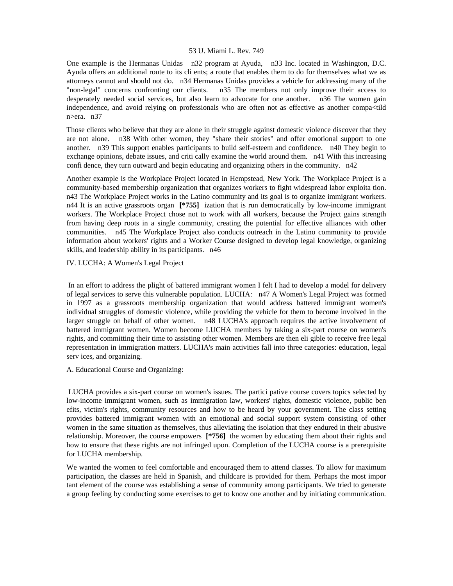One example is the Hermanas Unidas n32 program at Ayuda, n33 Inc. located in Washington, D.C. Ayuda offers an additional route to its cli ents; a route that enables them to do for themselves what we as attorneys cannot and should not do. n34 Hermanas Unidas provides a vehicle for addressing many of the "non-legal" concerns confronting our clients. n35 The members not only improve their access to desperately needed social services, but also learn to advocate for one another. n36 The women gain independence, and avoid relying on professionals who are often not as effective as another compa<tild n>era. n37

Those clients who believe that they are alone in their struggle against domestic violence discover that they are not alone. n38 With other women, they "share their stories" and offer emotional support to one another. n39 This support enables participants to build self-esteem and confidence. n40 They begin to exchange opinions, debate issues, and criti cally examine the world around them. n41 With this increasing confi dence, they turn outward and begin educating and organizing others in the community. n42

Another example is the Workplace Project located in Hempstead, New York. The Workplace Project is a community-based membership organization that organizes workers to fight widespread labor exploita tion. n43 The Workplace Project works in the Latino community and its goal is to organize immigrant workers. n44 It is an active grassroots organ **[\*755]** ization that is run democratically by low-income immigrant workers. The Workplace Project chose not to work with all workers, because the Project gains strength from having deep roots in a single community, creating the potential for effective alliances with other communities. n45 The Workplace Project also conducts outreach in the Latino community to provide information about workers' rights and a Worker Course designed to develop legal knowledge, organizing skills, and leadership ability in its participants. n46

## IV. LUCHA: A Women's Legal Project

 In an effort to address the plight of battered immigrant women I felt I had to develop a model for delivery of legal services to serve this vulnerable population. LUCHA: n47 A Women's Legal Project was formed in 1997 as a grassroots membership organization that would address battered immigrant women's individual struggles of domestic violence, while providing the vehicle for them to become involved in the larger struggle on behalf of other women. n48 LUCHA's approach requires the active involvement of battered immigrant women. Women become LUCHA members by taking a six-part course on women's rights, and committing their time to assisting other women. Members are then eli gible to receive free legal representation in immigration matters. LUCHA's main activities fall into three categories: education, legal serv ices, and organizing.

A. Educational Course and Organizing:

 LUCHA provides a six-part course on women's issues. The partici pative course covers topics selected by low-income immigrant women, such as immigration law, workers' rights, domestic violence, public ben efits, victim's rights, community resources and how to be heard by your government. The class setting provides battered immigrant women with an emotional and social support system consisting of other women in the same situation as themselves, thus alleviating the isolation that they endured in their abusive relationship. Moreover, the course empowers **[\*756]** the women by educating them about their rights and how to ensure that these rights are not infringed upon. Completion of the LUCHA course is a prerequisite for LUCHA membership.

We wanted the women to feel comfortable and encouraged them to attend classes. To allow for maximum participation, the classes are held in Spanish, and childcare is provided for them. Perhaps the most impor tant element of the course was establishing a sense of community among participants. We tried to generate a group feeling by conducting some exercises to get to know one another and by initiating communication.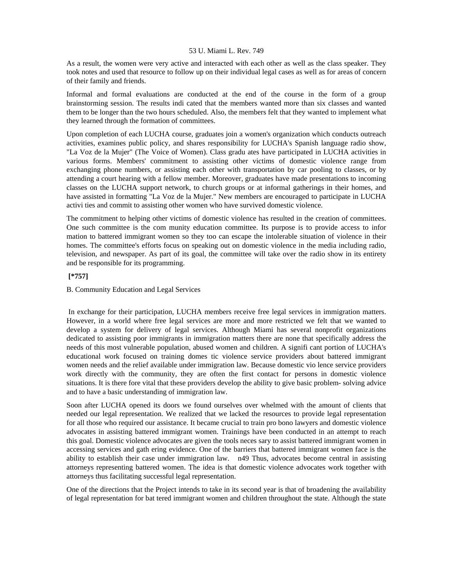As a result, the women were very active and interacted with each other as well as the class speaker. They took notes and used that resource to follow up on their individual legal cases as well as for areas of concern of their family and friends.

Informal and formal evaluations are conducted at the end of the course in the form of a group brainstorming session. The results indi cated that the members wanted more than six classes and wanted them to be longer than the two hours scheduled. Also, the members felt that they wanted to implement what they learned through the formation of committees.

Upon completion of each LUCHA course, graduates join a women's organization which conducts outreach activities, examines public policy, and shares responsibility for LUCHA's Spanish language radio show, "La Voz de la Mujer" (The Voice of Women). Class gradu ates have participated in LUCHA activities in various forms. Members' commitment to assisting other victims of domestic violence range from exchanging phone numbers, or assisting each other with transportation by car pooling to classes, or by attending a court hearing with a fellow member. Moreover, graduates have made presentations to incoming classes on the LUCHA support network, to church groups or at informal gatherings in their homes, and have assisted in formatting "La Voz de la Mujer." New members are encouraged to participate in LUCHA activi ties and commit to assisting other women who have survived domestic violence.

The commitment to helping other victims of domestic violence has resulted in the creation of committees. One such committee is the com munity education committee. Its purpose is to provide access to infor mation to battered immigrant women so they too can escape the intolerable situation of violence in their homes. The committee's efforts focus on speaking out on domestic violence in the media including radio, television, and newspaper. As part of its goal, the committee will take over the radio show in its entirety and be responsible for its programming.

# **[\*757]**

## B. Community Education and Legal Services

 In exchange for their participation, LUCHA members receive free legal services in immigration matters. However, in a world where free legal services are more and more restricted we felt that we wanted to develop a system for delivery of legal services. Although Miami has several nonprofit organizations dedicated to assisting poor immigrants in immigration matters there are none that specifically address the needs of this most vulnerable population, abused women and children. A signifi cant portion of LUCHA's educational work focused on training domes tic violence service providers about battered immigrant women needs and the relief available under immigration law. Because domestic vio lence service providers work directly with the community, they are often the first contact for persons in domestic violence situations. It is there fore vital that these providers develop the ability to give basic problem- solving advice and to have a basic understanding of immigration law.

Soon after LUCHA opened its doors we found ourselves over whelmed with the amount of clients that needed our legal representation. We realized that we lacked the resources to provide legal representation for all those who required our assistance. It became crucial to train pro bono lawyers and domestic violence advocates in assisting battered immigrant women. Trainings have been conducted in an attempt to reach this goal. Domestic violence advocates are given the tools neces sary to assist battered immigrant women in accessing services and gath ering evidence. One of the barriers that battered immigrant women face is the ability to establish their case under immigration law. n49 Thus, advocates become central in assisting attorneys representing battered women. The idea is that domestic violence advocates work together with attorneys thus facilitating successful legal representation.

One of the directions that the Project intends to take in its second year is that of broadening the availability of legal representation for bat tered immigrant women and children throughout the state. Although the state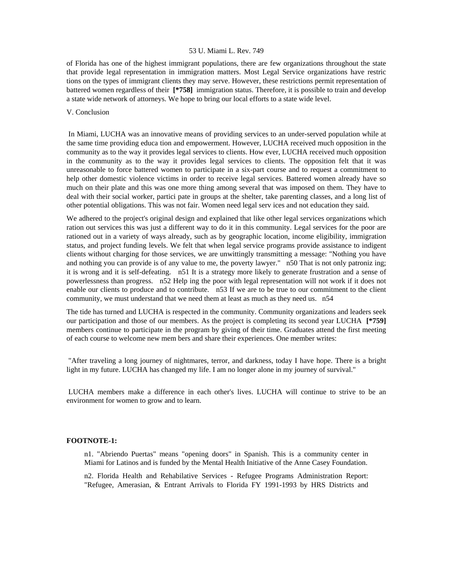of Florida has one of the highest immigrant populations, there are few organizations throughout the state that provide legal representation in immigration matters. Most Legal Service organizations have restric tions on the types of immigrant clients they may serve. However, these restrictions permit representation of battered women regardless of their **[\*758]** immigration status. Therefore, it is possible to train and develop a state wide network of attorneys. We hope to bring our local efforts to a state wide level.

### V. Conclusion

 In Miami, LUCHA was an innovative means of providing services to an under-served population while at the same time providing educa tion and empowerment. However, LUCHA received much opposition in the community as to the way it provides legal services to clients. How ever, LUCHA received much opposition in the community as to the way it provides legal services to clients. The opposition felt that it was unreasonable to force battered women to participate in a six-part course and to request a commitment to help other domestic violence victims in order to receive legal services. Battered women already have so much on their plate and this was one more thing among several that was imposed on them. They have to deal with their social worker, partici pate in groups at the shelter, take parenting classes, and a long list of other potential obligations. This was not fair. Women need legal serv ices and not education they said.

We adhered to the project's original design and explained that like other legal services organizations which ration out services this was just a different way to do it in this community. Legal services for the poor are rationed out in a variety of ways already, such as by geographic location, income eligibility, immigration status, and project funding levels. We felt that when legal service programs provide assistance to indigent clients without charging for those services, we are unwittingly transmitting a message: "Nothing you have and nothing you can provide is of any value to me, the poverty lawyer." n50 That is not only patroniz ing; it is wrong and it is self-defeating. n51 It is a strategy more likely to generate frustration and a sense of powerlessness than progress. n52 Help ing the poor with legal representation will not work if it does not enable our clients to produce and to contribute. n53 If we are to be true to our commitment to the client community, we must understand that we need them at least as much as they need us. n54

The tide has turned and LUCHA is respected in the community. Community organizations and leaders seek our participation and those of our members. As the project is completing its second year LUCHA **[\*759]**  members continue to participate in the program by giving of their time. Graduates attend the first meeting of each course to welcome new mem bers and share their experiences. One member writes:

 "After traveling a long journey of nightmares, terror, and darkness, today I have hope. There is a bright light in my future. LUCHA has changed my life. I am no longer alone in my journey of survival."

 LUCHA members make a difference in each other's lives. LUCHA will continue to strive to be an environment for women to grow and to learn.

## **FOOTNOTE-1:**

n1. "Abriendo Puertas" means "opening doors" in Spanish. This is a community center in Miami for Latinos and is funded by the Mental Health Initiative of the Anne Casey Foundation.

n2. Florida Health and Rehabilative Services - Refugee Programs Administration Report: "Refugee, Amerasian, & Entrant Arrivals to Florida FY 1991-1993 by HRS Districts and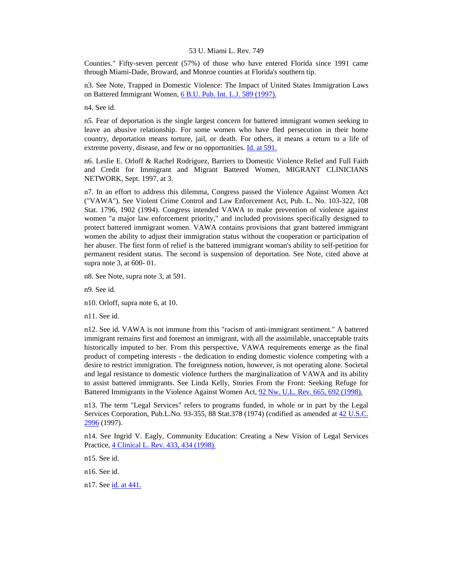Counties." Fifty-seven percent (57%) of those who have entered Florida since 1991 came through Miami-Dade, Broward, and Monroe counties at Florida's southern tip.

n3. See Note, Trapped in Domestic Violence: The Impact of United States Immigration Laws on Battered Immigrant Women, [6 B.U. Pub. Int. L.J. 589 \(1997\).](http://www.lexis.com/research/xlink?searchtype=get&search=6%20B.U.%20Pub.%20Int.%20L.J.%20589)

n4. See id.

n5. Fear of deportation is the single largest concern for battered immigrant women seeking to leave an abusive relationship. For some women who have fled persecution in their home country, deportation means torture, jail, or death. For others, it means a return to a life of extreme poverty, disease, and few or no opportunities. [Id. at 591.](http://www.lexis.com/research/xlink?searchtype=get&search=6%20B.U.%20Pub.%20Int.%20L.J.%20589,at%20591)

n6. Leslie E. Orloff & Rachel Rodriguez, Barriers to Domestic Violence Relief and Full Faith and Credit for Immigrant and Migrant Battered Women, MIGRANT CLINICIANS NETWORK, Sept. 1997, at 3.

n7. In an effort to address this dilemma, Congress passed the Violence Against Women Act ("VAWA"). See Violent Crime Control and Law Enforcement Act, Pub. L. No. 103-322, 108 Stat. 1796, 1902 (1994). Congress intended VAWA to make prevention of violence against women "a major law enforcement priority," and included provisions specifically designed to protect battered immigrant women. VAWA contains provisions that grant battered immigrant women the ability to adjust their immigration status without the cooperation or participation of her abuser. The first form of relief is the battered immigrant woman's ability to self-petition for permanent resident status. The second is suspension of deportation. See Note, cited above at supra note 3, at 600- 01.

n8. See Note, supra note 3, at 591.

n9. See id.

n10. Orloff, supra note 6, at 10.

n11. See id.

n12. See id. VAWA is not immune from this "racism of anti-immigrant sentiment." A battered immigrant remains first and foremost an immigrant, with all the assimilable, unacceptable traits historically imputed to her. From this perspective, VAWA requirements emerge as the final product of competing interests - the dedication to ending domestic violence competing with a desire to restrict immigration. The foreignness notion, however, is not operating alone. Societal and legal resistance to domestic violence furthers the marginalization of VAWA and its ability to assist battered immigrants. See Linda Kelly, Stories From the Front: Seeking Refuge for Battered Immigrants in the Violence Against Women Act, [92 Nw. U.L. Rev. 665, 692 \(1998\).](http://www.lexis.com/research/xlink?searchtype=get&search=92%20Nw.%20U.L.%20Rev.%20665,at%20692)

n13. The term "Legal Services" refers to programs funded, in whole or in part by the Legal Services Corporation, Pub.L.No. 93-355, 88 Stat.378 (1974) (codified as amended at [42 U.S.C.](http://www.lexis.com/research/xlink?searchtype=get&search=42%20USC%202996)  [2996](http://www.lexis.com/research/xlink?searchtype=get&search=42%20USC%202996) (1997).

n14. See Ingrid V. Eagly, Community Education: Creating a New Vision of Legal Services Practice, [4 Clinical L. Rev. 433, 434 \(1998\).](http://www.lexis.com/research/xlink?searchtype=get&search=4%20Clinical%20L.%20Rev.%20433,at%20434)

n15. See id.

n16. See id.

n17. See [id. at 441.](http://www.lexis.com/research/xlink?searchtype=get&search=4%20Clinical%20L.%20Rev.%20433,at%20441)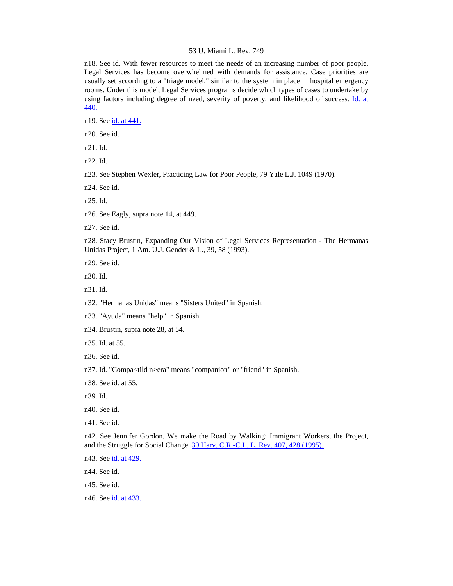n18. See id. With fewer resources to meet the needs of an increasing number of poor people, Legal Services has become overwhelmed with demands for assistance. Case priorities are usually set according to a "triage model," similar to the system in place in hospital emergency rooms. Under this model, Legal Services programs decide which types of cases to undertake by using factors including degree of need, severity of poverty, and likelihood of success. [Id. at](http://www.lexis.com/research/xlink?searchtype=get&search=4%20Clinical%20L.%20Rev.%20433,at%20440)  [440.](http://www.lexis.com/research/xlink?searchtype=get&search=4%20Clinical%20L.%20Rev.%20433,at%20440)

n19. See [id. at 441.](http://www.lexis.com/research/xlink?searchtype=get&search=4%20Clinical%20L.%20Rev.%20433,at%20441)

n20. See id.

n21. Id.

n22. Id.

n23. See Stephen Wexler, Practicing Law for Poor People, 79 Yale L.J. 1049 (1970).

n24. See id.

n25. Id.

n26. See Eagly, supra note 14, at 449.

n27. See id.

n28. Stacy Brustin, Expanding Our Vision of Legal Services Representation - The Hermanas Unidas Project, 1 Am. U.J. Gender & L., 39, 58 (1993).

n29. See id.

n30. Id.

n31. Id.

n32. "Hermanas Unidas" means "Sisters United" in Spanish.

n33. "Ayuda" means "help" in Spanish.

n34. Brustin, supra note 28, at 54.

n35. Id. at 55.

n36. See id.

n37. Id. "Compa<tild n>era" means "companion" or "friend" in Spanish.

n38. See id. at 55.

n39. Id.

n40. See id.

n41. See id.

n42. See Jennifer Gordon, We make the Road by Walking: Immigrant Workers, the Project, and the Struggle for Social Change, [30 Harv. C.R.-C.L. L. Rev. 407, 428 \(1995\).](http://www.lexis.com/research/xlink?searchtype=get&search=30%20Harv.%20C.R.-C.L.%20L.%20Rev.%20407,at%20428)

n43. See [id. at 429.](http://www.lexis.com/research/xlink?searchtype=get&search=30%20Harv.%20C.R.-C.L.%20L.%20Rev.%20407,at%20429)

n44. See id.

n45. See id.

n46. See [id. at 433.](http://www.lexis.com/research/xlink?searchtype=get&search=30%20Harv.%20C.R.-C.L.%20L.%20Rev.%20407,at%20433)